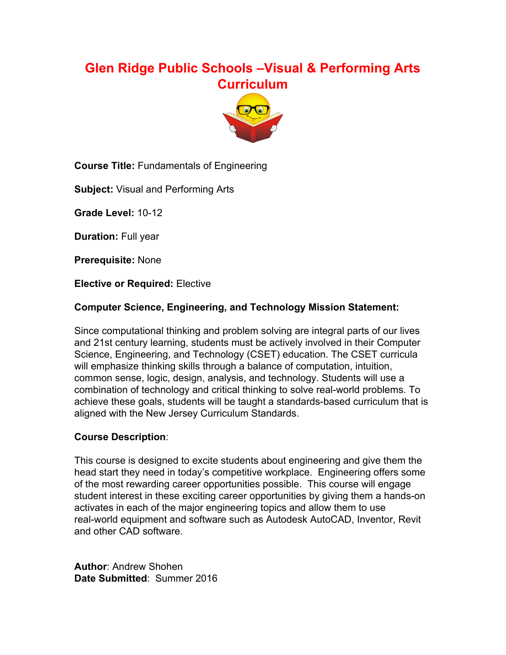# **Glen Ridge Public Schools –Visual & Performing Arts Curriculum**



**Course Title:** Fundamentals of Engineering

**Subject:** Visual and Performing Arts

**Grade Level: 10-12** 

**Duration:** Full year

**Prerequisite:** None

**Elective or Required:** Elective

#### **Computer Science, Engineering, and Technology Mission Statement:**

Since computational thinking and problem solving are integral parts of our lives and 21st century learning, students must be actively involved in their Computer Science, Engineering, and Technology (CSET) education. The CSET curricula will emphasize thinking skills through a balance of computation, intuition, common sense, logic, design, analysis, and technology. Students will use a combination of technology and critical thinking to solve real-world problems. To achieve these goals, students will be taught a standards-based curriculum that is aligned with the New Jersey Curriculum Standards.

#### **Course Description**:

This course is designed to excite students about engineering and give them the head start they need in today's competitive workplace. Engineering offers some of the most rewarding career opportunities possible. This course will engage student interest in these exciting career opportunities by giving them a hands-on activates in each of the major engineering topics and allow them to use real-world equipment and software such as Autodesk AutoCAD, Inventor, Revit and other CAD software.

**Author**: Andrew Shohen **Date Submitted**: Summer 2016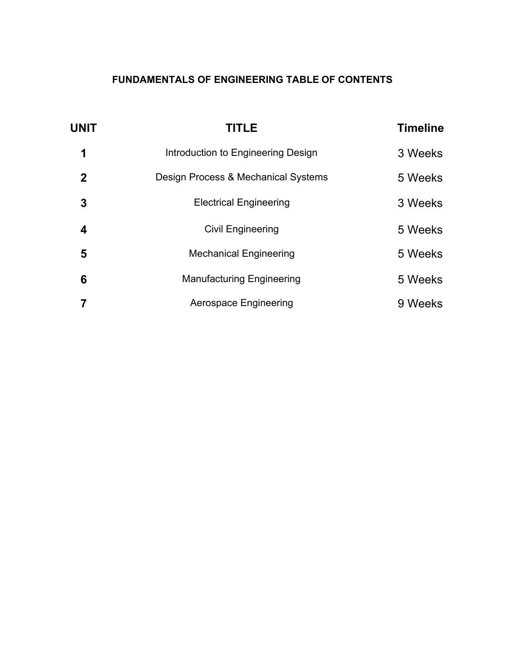# **FUNDAMENTALS OF ENGINEERING TABLE OF CONTENTS**

| <b>UNIT</b> | <b>TITLE</b>                        | <b>Timeline</b> |
|-------------|-------------------------------------|-----------------|
| 1           | Introduction to Engineering Design  | 3 Weeks         |
| $\mathbf 2$ | Design Process & Mechanical Systems | 5 Weeks         |
| 3           | <b>Electrical Engineering</b>       | 3 Weeks         |
| 4           | <b>Civil Engineering</b>            | 5 Weeks         |
| 5           | <b>Mechanical Engineering</b>       | 5 Weeks         |
| 6           | <b>Manufacturing Engineering</b>    | 5 Weeks         |
|             | Aerospace Engineering               | 9 Weeks         |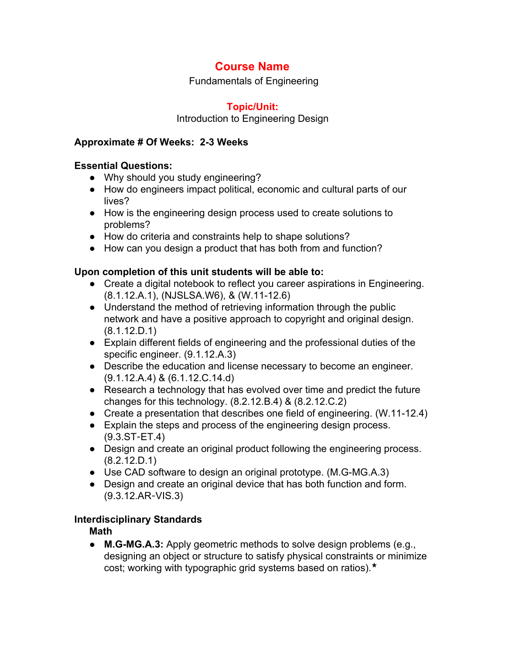Fundamentals of Engineering

### **Topic/Unit:**

#### Introduction to Engineering Design

#### **Approximate # Of Weeks: 23 Weeks**

#### **Essential Questions:**

- Why should you study engineering?
- How do engineers impact political, economic and cultural parts of our lives?
- How is the engineering design process used to create solutions to problems?
- How do criteria and constraints help to shape solutions?
- How can you design a product that has both from and function?

### **Upon completion of this unit students will be able to:**

- Create a digital notebook to reflect you career aspirations in Engineering. (8.1.12.A.1), (NJSLSA.W6), & (W.11-12.6)
- Understand the method of retrieving information through the public network and have a positive approach to copyright and original design. (8.1.12.D.1)
- Explain different fields of engineering and the professional duties of the specific engineer. (9.1.12.A.3)
- Describe the education and license necessary to become an engineer. (9.1.12.A.4) & (6.1.12.C.14.d)
- Research a technology that has evolved over time and predict the future changes for this technology. (8.2.12.B.4) & (8.2.12.C.2)
- Create a presentation that describes one field of engineering. (W.11-12.4)
- Explain the steps and process of the engineering design process.  $(9.3.ST-ET.4)$
- Design and create an original product following the engineering process. (8.2.12.D.1)
- Use CAD software to design an original prototype. (M.G-MG.A.3)
- Design and create an original device that has both function and form. (9.3.12.AR‐VIS.3)

### **Interdisciplinary Standards**

**Math**

• **M.G-MG.A.3:** Apply geometric methods to solve design problems (e.g., designing an object or structure to satisfy physical constraints or minimize cost; working with typographic grid systems based on ratios).★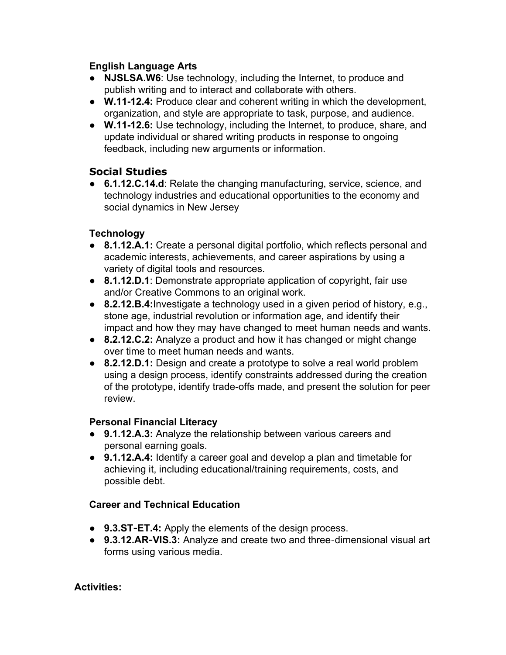### **English Language Arts**

- **NJSLSA.W6**: Use technology, including the Internet, to produce and publish writing and to interact and collaborate with others.
- **W.1112.4:** Produce clear and coherent writing in which the development, organization, and style are appropriate to task, purpose, and audience.
- **W.1112.6:** Use technology, including the Internet, to produce, share, and update individual or shared writing products in response to ongoing feedback, including new arguments or information.

# **Social Studies**

● **6.1.12.C.14.d**: Relate the changing manufacturing, service, science, and technology industries and educational opportunities to the economy and social dynamics in New Jersey

## **Technology**

- **8.1.12.A.1:** Create a personal digital portfolio, which reflects personal and academic interests, achievements, and career aspirations by using a variety of digital tools and resources.
- **8.1.12.D.1**: Demonstrate appropriate application of copyright, fair use and/or Creative Commons to an original work.
- **8.2.12.B.4:**Investigate a technology used in a given period of history, e.g., stone age, industrial revolution or information age, and identify their impact and how they may have changed to meet human needs and wants.
- **8.2.12.C.2:** Analyze a product and how it has changed or might change over time to meet human needs and wants.
- **8.2.12.D.1:** Design and create a prototype to solve a real world problem using a design process, identify constraints addressed during the creation of the prototype, identify trade-offs made, and present the solution for peer review.

### **Personal Financial Literacy**

- **9.1.12.A.3:** Analyze the relationship between various careers and personal earning goals.
- **9.1.12.A.4:** Identify a career goal and develop a plan and timetable for achieving it, including educational/training requirements, costs, and possible debt.

# **Career and Technical Education**

- 9.3.ST-ET.4: Apply the elements of the design process.
- 9.3.12.AR-VIS.3: Analyze and create two and three-dimensional visual art forms using various media.

### **Activities:**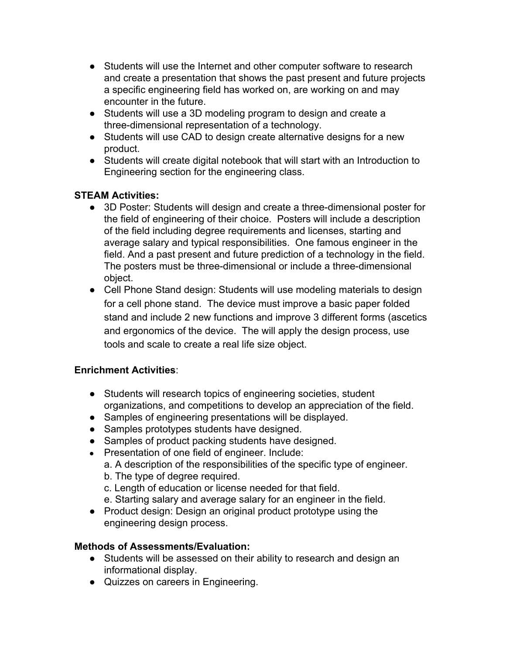- Students will use the Internet and other computer software to research and create a presentation that shows the past present and future projects a specific engineering field has worked on, are working on and may encounter in the future.
- Students will use a 3D modeling program to design and create a three-dimensional representation of a technology.
- Students will use CAD to design create alternative designs for a new product.
- Students will create digital notebook that will start with an Introduction to Engineering section for the engineering class.

### **STEAM Activities:**

- 3D Poster: Students will design and create a three-dimensional poster for the field of engineering of their choice. Posters will include a description of the field including degree requirements and licenses, starting and average salary and typical responsibilities. One famous engineer in the field. And a past present and future prediction of a technology in the field. The posters must be three-dimensional or include a three-dimensional object.
- Cell Phone Stand design: Students will use modeling materials to design for a cell phone stand. The device must improve a basic paper folded stand and include 2 new functions and improve 3 different forms (ascetics and ergonomics of the device. The will apply the design process, use tools and scale to create a real life size object.

### **Enrichment Activities**:

- Students will research topics of engineering societies, student organizations, and competitions to develop an appreciation of the field.
- Samples of engineering presentations will be displayed.
- Samples prototypes students have designed.
- Samples of product packing students have designed.
- Presentation of one field of engineer. Include:
	- a. A description of the responsibilities of the specific type of engineer.
	- b. The type of degree required.
	- c. Length of education or license needed for that field.
	- e. Starting salary and average salary for an engineer in the field.
- Product design: Design an original product prototype using the engineering design process.

### **Methods of Assessments/Evaluation:**

- Students will be assessed on their ability to research and design an informational display.
- Quizzes on careers in Engineering.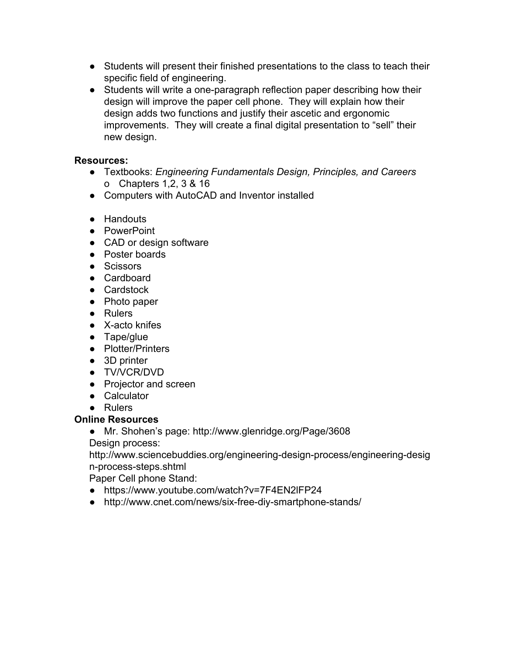- Students will present their finished presentations to the class to teach their specific field of engineering.
- Students will write a one-paragraph reflection paper describing how their design will improve the paper cell phone. They will explain how their design adds two functions and justify their ascetic and ergonomic improvements. They will create a final digital presentation to "sell" their new design.

### **Resources:**

- Textbooks: *Engineering Fundamentals Design, Principles, and Careers* o Chapters 1,2, 3 & 16
- Computers with AutoCAD and Inventor installed
- Handouts
- PowerPoint
- CAD or design software
- Poster boards
- Scissors
- Cardboard
- Cardstock
- Photo paper
- Rulers
- $\bullet$  X-acto knifes
- Tape/glue
- Plotter/Printers
- 3D printer
- TV/VCR/DVD
- Projector and screen
- Calculator
- Rulers

### **Online Resources**

● Mr. Shohen's page: http://www.glenridge.org/Page/3608 Design process:

http://www.sciencebuddies.org/engineering-design-process/engineering-desig n-process-steps.shtml

Paper Cell phone Stand:

- https://www.youtube.com/watch?v=7F4EN2lFP24
- http://www.cnet.com/news/six-free-diy-smartphone-stands/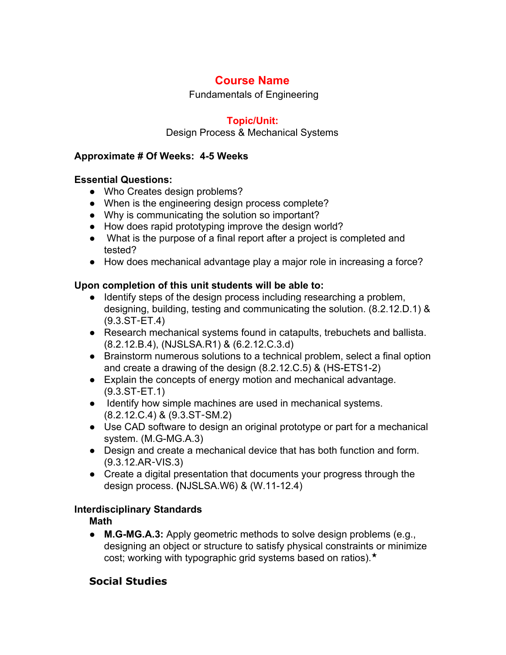Fundamentals of Engineering

# **Topic/Unit:**

#### Design Process & Mechanical Systems

#### **Approximate # Of Weeks: 45 Weeks**

#### **Essential Questions:**

- Who Creates design problems?
- When is the engineering design process complete?
- Why is communicating the solution so important?
- How does rapid prototyping improve the design world?
- What is the purpose of a final report after a project is completed and tested?
- How does mechanical advantage play a major role in increasing a force?

### **Upon completion of this unit students will be able to:**

- Identify steps of the design process including researching a problem, designing, building, testing and communicating the solution. (8.2.12.D.1) & (9.3.ST‐ET.4)
- Research mechanical systems found in catapults, trebuchets and ballista. (8.2.12.B.4), (NJSLSA.R1) & (6.2.12.C.3.d)
- Brainstorm numerous solutions to a technical problem, select a final option and create a drawing of the design  $(8.2.12.C.5)$  &  $(HS-ETS1-2)$
- Explain the concepts of energy motion and mechanical advantage. (9.3.ST‐ET.1)
- Identify how simple machines are used in mechanical systems. (8.2.12.C.4) & (9.3.ST‐SM.2)
- Use CAD software to design an original prototype or part for a mechanical system. (M.G-MG.A.3)
- Design and create a mechanical device that has both function and form. (9.3.12.AR‐VIS.3)
- Create a digital presentation that documents your progress through the design process. **(NJSLSA.W6) & (W.11-12.4)**

### **Interdisciplinary Standards**

**Math**

• **M.G-MG.A.3:** Apply geometric methods to solve design problems (e.g., designing an object or structure to satisfy physical constraints or minimize cost; working with typographic grid systems based on ratios).★

# **Social Studies**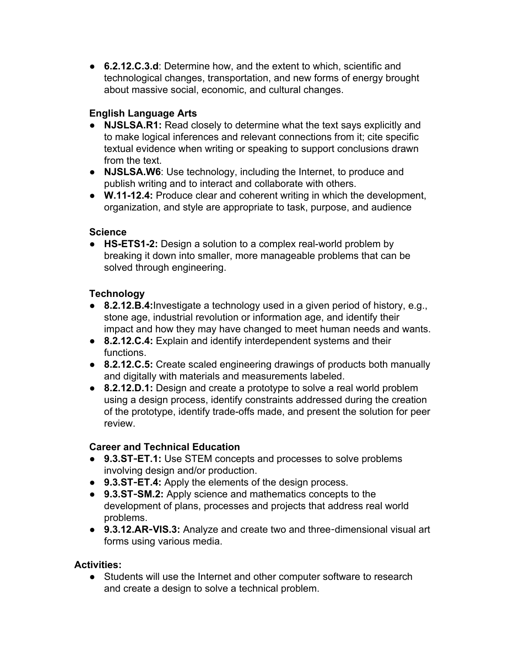● **6.2.12.C.3.d**: Determine how, and the extent to which, scientific and technological changes, transportation, and new forms of energy brought about massive social, economic, and cultural changes.

# **English Language Arts**

- **NJSLSA.R1:** Read closely to determine what the text says explicitly and to make logical inferences and relevant connections from it; cite specific textual evidence when writing or speaking to support conclusions drawn from the text.
- **NJSLSA.W6**: Use technology, including the Internet, to produce and publish writing and to interact and collaborate with others.
- **W.1112.4:** Produce clear and coherent writing in which the development, organization, and style are appropriate to task, purpose, and audience

## **Science**

• HS-ETS1-2: Design a solution to a complex real-world problem by breaking it down into smaller, more manageable problems that can be solved through engineering.

## **Technology**

- **8.2.12.B.4:** Investigate a technology used in a given period of history, e.g., stone age, industrial revolution or information age, and identify their impact and how they may have changed to meet human needs and wants.
- **8.2.12.C.4:** Explain and identify interdependent systems and their functions.
- **8.2.12.C.5:** Create scaled engineering drawings of products both manually and digitally with materials and measurements labeled.
- **8.2.12.D.1:** Design and create a prototype to solve a real world problem using a design process, identify constraints addressed during the creation of the prototype, identify trade-offs made, and present the solution for peer review.

# **Career and Technical Education**

- **9.3.ST**‐**ET.1:** Use STEM concepts and processes to solve problems involving design and/or production.
- 9.3.ST-ET.4: Apply the elements of the design process.
- **9.3.ST**‐**SM.2:** Apply science and mathematics concepts to the development of plans, processes and projects that address real world problems.
- 9.3.12.AR-VIS.3: Analyze and create two and three-dimensional visual art forms using various media.

# **Activities:**

● Students will use the Internet and other computer software to research and create a design to solve a technical problem.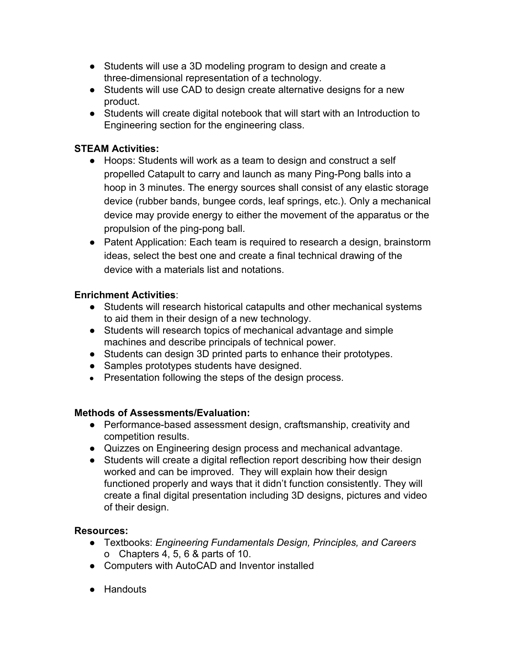- Students will use a 3D modeling program to design and create a three-dimensional representation of a technology.
- Students will use CAD to design create alternative designs for a new product.
- Students will create digital notebook that will start with an Introduction to Engineering section for the engineering class.

# **STEAM Activities:**

- Hoops: Students will work as a team to design and construct a self propelled Catapult to carry and launch as many Ping-Pong balls into a hoop in 3 minutes. The energy sources shall consist of any elastic storage device (rubber bands, bungee cords, leaf springs, etc.). Only a mechanical device may provide energy to either the movement of the apparatus or the propulsion of the ping-pong ball.
- Patent Application: Each team is required to research a design, brainstorm ideas, select the best one and create a final technical drawing of the device with a materials list and notations.

# **Enrichment Activities**:

- Students will research historical catapults and other mechanical systems to aid them in their design of a new technology.
- Students will research topics of mechanical advantage and simple machines and describe principals of technical power.
- Students can design 3D printed parts to enhance their prototypes.
- Samples prototypes students have designed.
- Presentation following the steps of the design process.

# **Methods of Assessments/Evaluation:**

- Performance-based assessment design, craftsmanship, creativity and competition results.
- Quizzes on Engineering design process and mechanical advantage.
- Students will create a digital reflection report describing how their design worked and can be improved. They will explain how their design functioned properly and ways that it didn't function consistently. They will create a final digital presentation including 3D designs, pictures and video of their design.

### **Resources:**

- Textbooks: *Engineering Fundamentals Design, Principles, and Careers* o Chapters 4, 5, 6 & parts of 10.
- Computers with AutoCAD and Inventor installed
- Handouts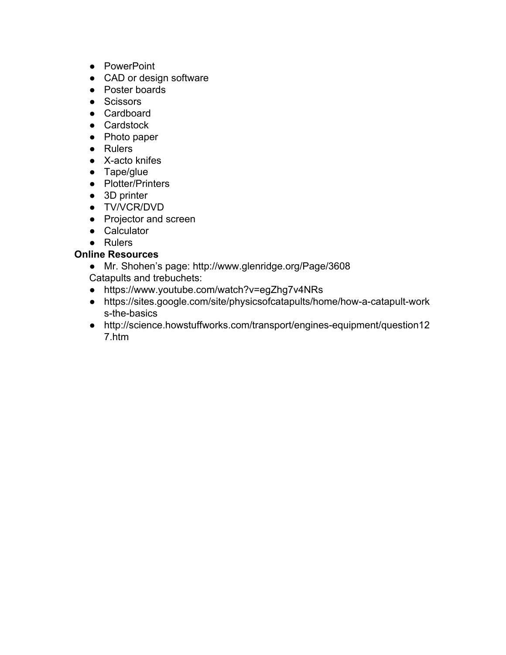- PowerPoint
- CAD or design software
- Poster boards
- Scissors
- Cardboard
- Cardstock
- Photo paper
- Rulers
- $\bullet$  X-acto knifes
- Tape/glue
- Plotter/Printers
- 3D printer
- TV/VCR/DVD
- Projector and screen
- Calculator
- Rulers

### **Online Resources**

- Mr. Shohen's page: http://www.glenridge.org/Page/3608
- Catapults and trebuchets:
- https://www.youtube.com/watch?v=egZhg7v4NRs
- https://sites.google.com/site/physicsofcatapults/home/how-a-catapult-work s-the-basics
- http://science.howstuffworks.com/transport/engines-equipment/question12 7.htm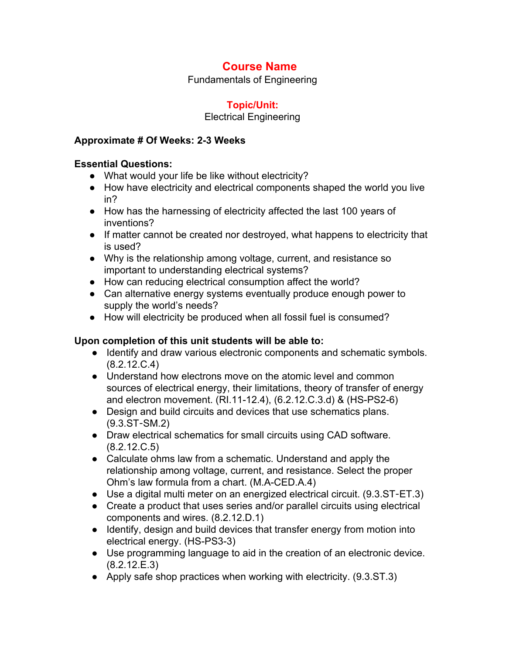Fundamentals of Engineering

## **Topic/Unit:**

#### Electrical Engineering

#### **Approximate # Of Weeks: 23 Weeks**

#### **Essential Questions:**

- What would your life be like without electricity?
- How have electricity and electrical components shaped the world you live in?
- How has the harnessing of electricity affected the last 100 years of inventions?
- If matter cannot be created nor destroyed, what happens to electricity that is used?
- Why is the relationship among voltage, current, and resistance so important to understanding electrical systems?
- How can reducing electrical consumption affect the world?
- Can alternative energy systems eventually produce enough power to supply the world's needs?
- How will electricity be produced when all fossil fuel is consumed?

### **Upon completion of this unit students will be able to:**

- Identify and draw various electronic components and schematic symbols. (8.2.12.C.4)
- Understand how electrons move on the atomic level and common sources of electrical energy, their limitations, theory of transfer of energy and electron movement. (RI.11-12.4), (6.2.12.C.3.d) & (HS-PS2-6)
- Design and build circuits and devices that use schematics plans. (9.3.ST‐SM.2)
- Draw electrical schematics for small circuits using CAD software. (8.2.12.C.5)
- Calculate ohms law from a schematic. Understand and apply the relationship among voltage, current, and resistance. Select the proper Ohm's law formula from a chart. (M.A-CED.A.4)
- Use a digital multi meter on an energized electrical circuit. (9.3.ST-ET.3)
- Create a product that uses series and/or parallel circuits using electrical components and wires. (8.2.12.D.1)
- Identify, design and build devices that transfer energy from motion into electrical energy. (HS-PS3-3)
- Use programming language to aid in the creation of an electronic device. (8.2.12.E.3)
- Apply safe shop practices when working with electricity. (9.3.ST.3)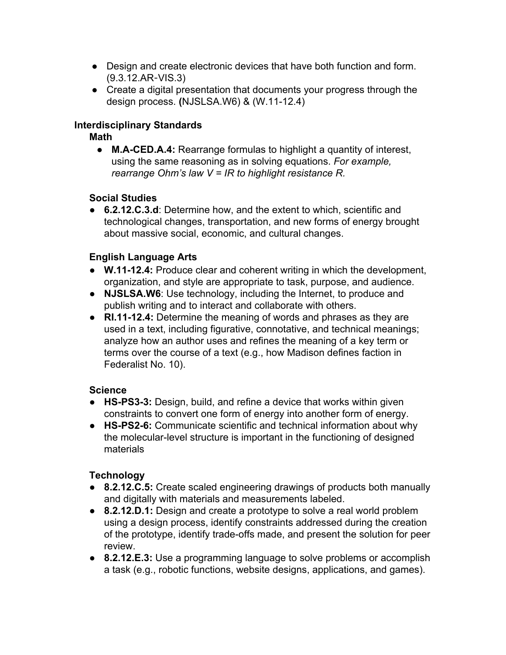- Design and create electronic devices that have both function and form. (9.3.12.AR‐VIS.3)
- Create a digital presentation that documents your progress through the design process. **(NJSLSA.W6) & (W.11-12.4)**

### **Interdisciplinary Standards**

**Math**

● **M.ACED.A.4:** Rearrange formulas to highlight a quantity of interest, using the same reasoning as in solving equations. *For example, rearrange Ohm's law V = IR to highlight resistance R.*

## **Social Studies**

● **6.2.12.C.3.d**: Determine how, and the extent to which, scientific and technological changes, transportation, and new forms of energy brought about massive social, economic, and cultural changes.

# **English Language Arts**

- **W.1112.4:** Produce clear and coherent writing in which the development, organization, and style are appropriate to task, purpose, and audience.
- **NJSLSA.W6**: Use technology, including the Internet, to produce and publish writing and to interact and collaborate with others.
- **RI.1112.4:** Determine the meaning of words and phrases as they are used in a text, including figurative, connotative, and technical meanings; analyze how an author uses and refines the meaning of a key term or terms over the course of a text (e.g., how Madison defines faction in Federalist No. 10).

# **Science**

- HS-PS3-3: Design, build, and refine a device that works within given constraints to convert one form of energy into another form of energy.
- **HSPS26:** Communicate scientific and technical information about why the molecular-level structure is important in the functioning of designed materials

# **Technology**

- **8.2.12.C.5:** Create scaled engineering drawings of products both manually and digitally with materials and measurements labeled.
- **8.2.12.D.1:** Design and create a prototype to solve a real world problem using a design process, identify constraints addressed during the creation of the prototype, identify trade-offs made, and present the solution for peer review.
- **8.2.12.E.3:** Use a programming language to solve problems or accomplish a task (e.g., robotic functions, website designs, applications, and games).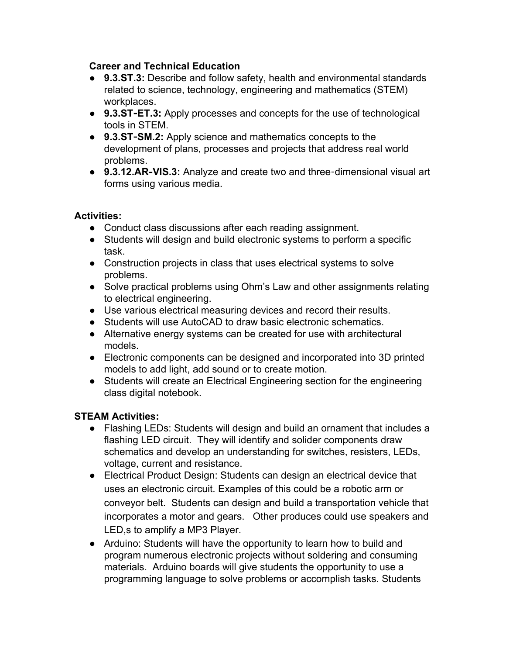#### **Career and Technical Education**

- **9.3.ST.3:** Describe and follow safety, health and environmental standards related to science, technology, engineering and mathematics (STEM) workplaces.
- **9.3.ST**‐**ET.3:** Apply processes and concepts for the use of technological tools in STEM.
- **9.3.ST**‐**SM.2:** Apply science and mathematics concepts to the development of plans, processes and projects that address real world problems.
- 9.3.12.AR-VIS.3: Analyze and create two and three-dimensional visual art forms using various media.

### **Activities:**

- Conduct class discussions after each reading assignment.
- Students will design and build electronic systems to perform a specific task.
- Construction projects in class that uses electrical systems to solve problems.
- Solve practical problems using Ohm's Law and other assignments relating to electrical engineering.
- Use various electrical measuring devices and record their results.
- Students will use AutoCAD to draw basic electronic schematics.
- Alternative energy systems can be created for use with architectural models.
- Electronic components can be designed and incorporated into 3D printed models to add light, add sound or to create motion.
- Students will create an Electrical Engineering section for the engineering class digital notebook.

### **STEAM Activities:**

- Flashing LEDs: Students will design and build an ornament that includes a flashing LED circuit. They will identify and solider components draw schematics and develop an understanding for switches, resisters, LEDs, voltage, current and resistance.
- Electrical Product Design: Students can design an electrical device that uses an electronic circuit. Examples of this could be a robotic arm or conveyor belt. Students can design and build a transportation vehicle that incorporates a motor and gears. Other produces could use speakers and LED,s to amplify a MP3 Player.
- Arduino: Students will have the opportunity to learn how to build and program numerous electronic projects without soldering and consuming materials. Arduino boards will give students the opportunity to use a programming language to solve problems or accomplish tasks. Students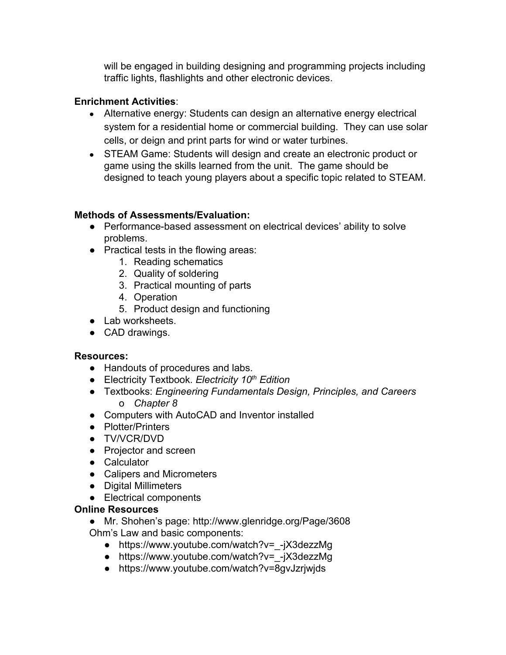will be engaged in building designing and programming projects including traffic lights, flashlights and other electronic devices.

### **Enrichment Activities**:

- Alternative energy: Students can design an alternative energy electrical system for a residential home or commercial building. They can use solar cells, or deign and print parts for wind or water turbines.
- STEAM Game: Students will design and create an electronic product or game using the skills learned from the unit. The game should be designed to teach young players about a specific topic related to STEAM.

### **Methods of Assessments/Evaluation:**

- Performance-based assessment on electrical devices' ability to solve problems.
- Practical tests in the flowing areas:
	- 1. Reading schematics
	- 2. Quality of soldering
	- 3. Practical mounting of parts
	- 4. Operation
	- 5. Product design and functioning
- Lab worksheets.
- CAD drawings.

#### **Resources:**

- Handouts of procedures and labs.
- Electricity Textbook. *Electricity 10th Edition*
- Textbooks: *Engineering Fundamentals Design, Principles, and Careers* o *Chapter 8*
- Computers with AutoCAD and Inventor installed
- Plotter/Printers
- TV/VCR/DVD
- Projector and screen
- Calculator
- Calipers and Micrometers
- Digital Millimeters
- Electrical components

#### **Online Resources**

- Mr. Shohen's page: http://www.glenridge.org/Page/3608 Ohm's Law and basic components:
	- https://www.youtube.com/watch?v= -jX3dezzMg
	- https://www.youtube.com/watch?v= -jX3dezzMg
	- https://www.youtube.com/watch?v=8gvJzrjwjds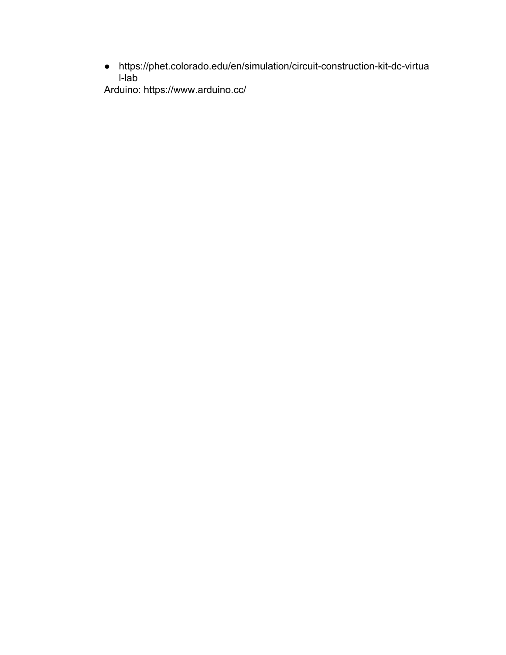• https://phet.colorado.edu/en/simulation/circuit-construction-kit-dc-virtua  $l$ -lab

Arduino: https://www.arduino.cc/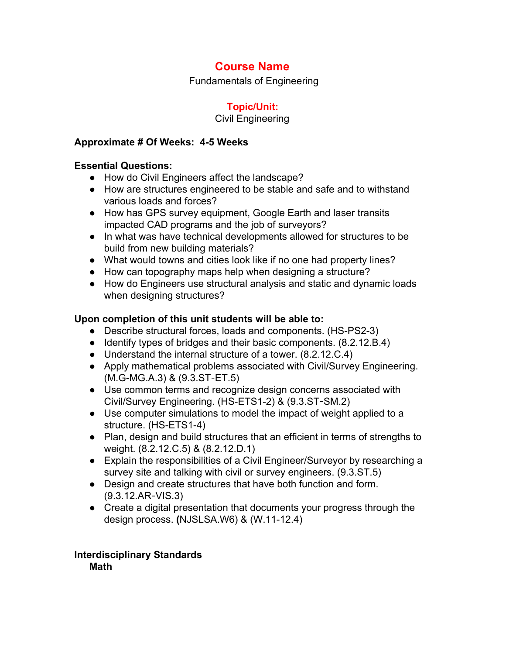Fundamentals of Engineering

## **Topic/Unit:**

#### Civil Engineering

#### **Approximate # Of Weeks: 45 Weeks**

#### **Essential Questions:**

- How do Civil Engineers affect the landscape?
- How are structures engineered to be stable and safe and to withstand various loads and forces?
- How has GPS survey equipment, Google Earth and laser transits impacted CAD programs and the job of surveyors?
- In what was have technical developments allowed for structures to be build from new building materials?
- What would towns and cities look like if no one had property lines?
- How can topography maps help when designing a structure?
- How do Engineers use structural analysis and static and dynamic loads when designing structures?

### **Upon completion of this unit students will be able to:**

- Describe structural forces, loads and components. (HS-PS2-3)
- Identify types of bridges and their basic components. (8.2.12.B.4)
- Understand the internal structure of a tower. (8.2.12.C.4)
- Apply mathematical problems associated with Civil/Survey Engineering.  $(M.G-MG.A.3)$  &  $(9.3.ST-ET.5)$
- Use common terms and recognize design concerns associated with Civil/Survey Engineering. (HS-ETS1-2) & (9.3.ST-SM.2)
- Use computer simulations to model the impact of weight applied to a structure. (HS-ETS1-4)
- Plan, design and build structures that an efficient in terms of strengths to weight. (8.2.12.C.5) & (8.2.12.D.1)
- Explain the responsibilities of a Civil Engineer/Surveyor by researching a survey site and talking with civil or survey engineers. (9.3.ST.5)
- Design and create structures that have both function and form. (9.3.12.AR‐VIS.3)
- Create a digital presentation that documents your progress through the design process. **(NJSLSA.W6) & (W.11-12.4)**

#### **Interdisciplinary Standards Math**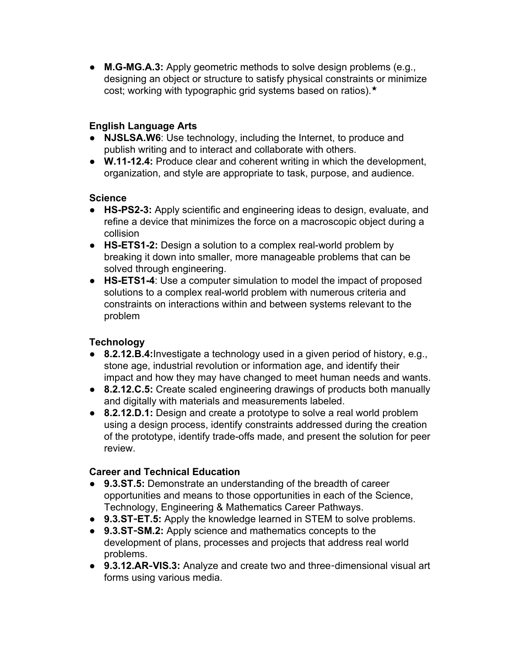• **M.G-MG.A.3:** Apply geometric methods to solve design problems (e.g., designing an object or structure to satisfy physical constraints or minimize cost; working with typographic grid systems based on ratios).★

## **English Language Arts**

- **NJSLSA.W6**: Use technology, including the Internet, to produce and publish writing and to interact and collaborate with others.
- **W.1112.4:** Produce clear and coherent writing in which the development, organization, and style are appropriate to task, purpose, and audience.

### **Science**

- **HSPS23:** Apply scientific and engineering ideas to design, evaluate, and refine a device that minimizes the force on a macroscopic object during a collision
- HS-ETS1-2: Design a solution to a complex real-world problem by breaking it down into smaller, more manageable problems that can be solved through engineering.
- **HSETS14**: Use a computer simulation to model the impact of proposed solutions to a complex real-world problem with numerous criteria and constraints on interactions within and between systems relevant to the problem

### **Technology**

- **8.2.12.B.4:**Investigate a technology used in a given period of history, e.g., stone age, industrial revolution or information age, and identify their impact and how they may have changed to meet human needs and wants.
- **8.2.12.C.5:** Create scaled engineering drawings of products both manually and digitally with materials and measurements labeled.
- **8.2.12.D.1:** Design and create a prototype to solve a real world problem using a design process, identify constraints addressed during the creation of the prototype, identify trade-offs made, and present the solution for peer review.

### **Career and Technical Education**

- **9.3.ST.5:** Demonstrate an understanding of the breadth of career opportunities and means to those opportunities in each of the Science, Technology, Engineering & Mathematics Career Pathways.
- **9.3.ST**‐**ET.5:** Apply the knowledge learned in STEM to solve problems.
- **9.3.ST**‐**SM.2:** Apply science and mathematics concepts to the development of plans, processes and projects that address real world problems.
- 9.3.12.AR-VIS.3: Analyze and create two and three-dimensional visual art forms using various media.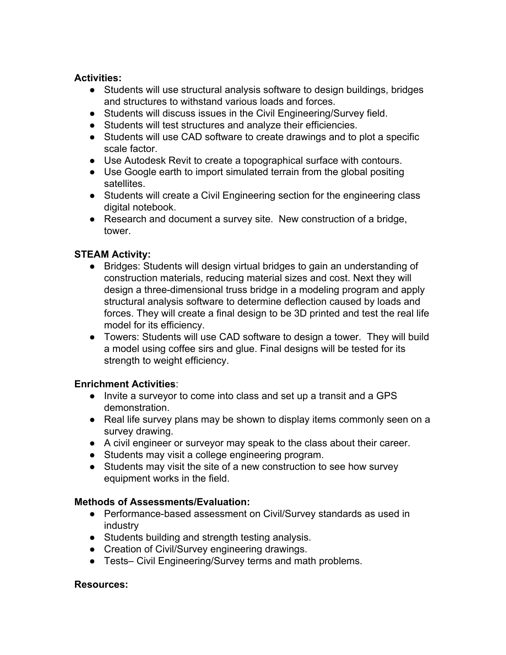#### **Activities:**

- Students will use structural analysis software to design buildings, bridges and structures to withstand various loads and forces.
- Students will discuss issues in the Civil Engineering/Survey field.
- Students will test structures and analyze their efficiencies.
- Students will use CAD software to create drawings and to plot a specific scale factor.
- Use Autodesk Revit to create a topographical surface with contours.
- Use Google earth to import simulated terrain from the global positing satellites.
- Students will create a Civil Engineering section for the engineering class digital notebook.
- Research and document a survey site. New construction of a bridge, tower.

# **STEAM Activity:**

- Bridges: Students will design virtual bridges to gain an understanding of construction materials, reducing material sizes and cost. Next they will design a three-dimensional truss bridge in a modeling program and apply structural analysis software to determine deflection caused by loads and forces. They will create a final design to be 3D printed and test the real life model for its efficiency.
- Towers: Students will use CAD software to design a tower. They will build a model using coffee sirs and glue. Final designs will be tested for its strength to weight efficiency.

### **Enrichment Activities**:

- Invite a surveyor to come into class and set up a transit and a GPS demonstration.
- Real life survey plans may be shown to display items commonly seen on a survey drawing.
- A civil engineer or surveyor may speak to the class about their career.
- Students may visit a college engineering program.
- Students may visit the site of a new construction to see how survey equipment works in the field.

### **Methods of Assessments/Evaluation:**

- Performance-based assessment on Civil/Survey standards as used in industry
- Students building and strength testing analysis.
- Creation of Civil/Survey engineering drawings.
- Tests– Civil Engineering/Survey terms and math problems.

### **Resources:**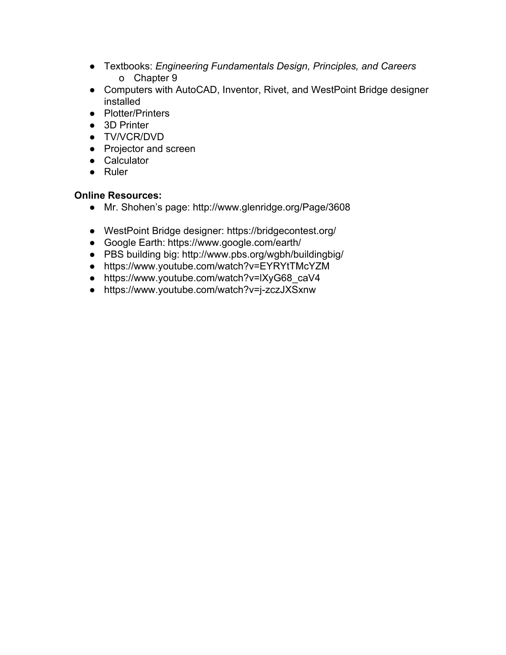- Textbooks: *Engineering Fundamentals Design, Principles, and Careers* o Chapter 9
- Computers with AutoCAD, Inventor, Rivet, and WestPoint Bridge designer installed
- Plotter/Printers
- 3D Printer
- TV/VCR/DVD
- Projector and screen
- Calculator
- Ruler

#### **Online Resources:**

- Mr. Shohen's page: http://www.glenridge.org/Page/3608
- WestPoint Bridge designer: https://bridgecontest.org/
- Google Earth: https://www.google.com/earth/
- PBS building big: http://www.pbs.org/wgbh/buildingbig/
- https://www.youtube.com/watch?v=EYRYtTMcYZM
- https://www.youtube.com/watch?v=lXyG68\_caV4
- https://www.youtube.com/watch?v=j-zczJXSxnw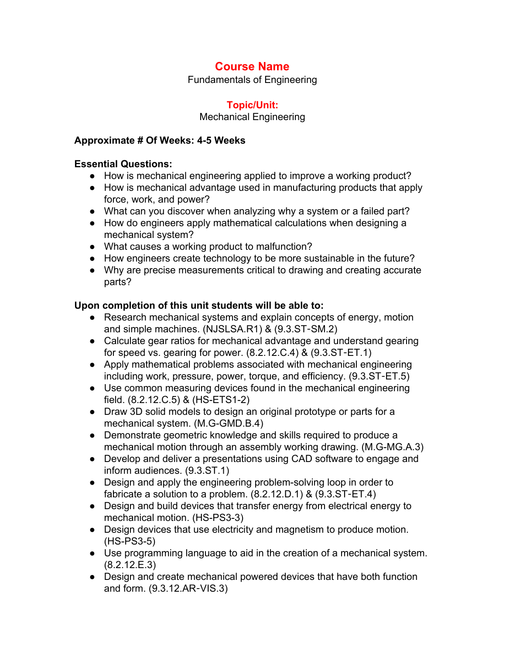Fundamentals of Engineering

## **Topic/Unit:**

### Mechanical Engineering

### **Approximate # Of Weeks: 45 Weeks**

## **Essential Questions:**

- How is mechanical engineering applied to improve a working product?
- How is mechanical advantage used in manufacturing products that apply force, work, and power?
- What can you discover when analyzing why a system or a failed part?
- How do engineers apply mathematical calculations when designing a mechanical system?
- What causes a working product to malfunction?
- How engineers create technology to be more sustainable in the future?
- Why are precise measurements critical to drawing and creating accurate parts?

# **Upon completion of this unit students will be able to:**

- Research mechanical systems and explain concepts of energy, motion and simple machines. (NJSLSA.R1) & (9.3.ST‐SM.2)
- Calculate gear ratios for mechanical advantage and understand gearing for speed vs. gearing for power. (8.2.12.C.4) & (9.3.ST‐ET.1)
- Apply mathematical problems associated with mechanical engineering including work, pressure, power, torque, and efficiency. (9.3.ST‐ET.5)
- Use common measuring devices found in the mechanical engineering field.  $(8.2.12.C.5)$  &  $(HS-ETS1-2)$
- Draw 3D solid models to design an original prototype or parts for a mechanical system. (M.G-GMD.B.4)
- Demonstrate geometric knowledge and skills required to produce a mechanical motion through an assembly working drawing. (M.G-MG.A.3)
- Develop and deliver a presentations using CAD software to engage and inform audiences. (9.3.ST.1)
- Design and apply the engineering problem-solving loop in order to fabricate a solution to a problem. (8.2.12.D.1) & (9.3.ST‐ET.4)
- Design and build devices that transfer energy from electrical energy to mechanical motion. (HS-PS3-3)
- Design devices that use electricity and magnetism to produce motion.  $(HS-PS3-5)$
- Use programming language to aid in the creation of a mechanical system. (8.2.12.E.3)
- Design and create mechanical powered devices that have both function and form. (9.3.12.AR‐VIS.3)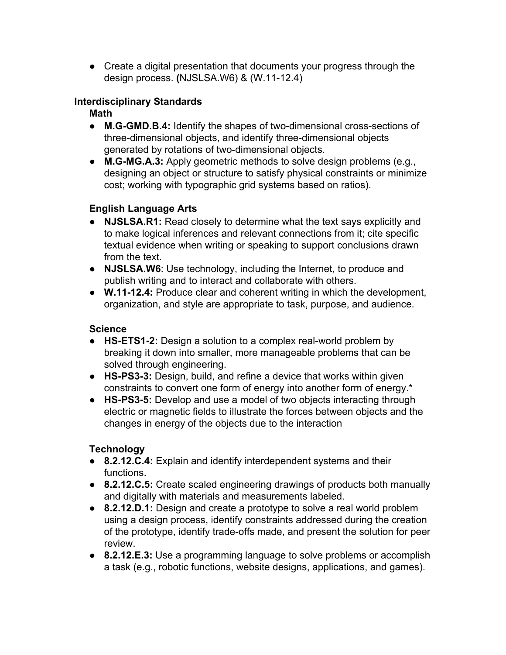● Create a digital presentation that documents your progress through the design process. **(NJSLSA.W6) & (W.11-12.4)** 

## **Interdisciplinary Standards**

**Math**

- M.G-GMD.B.4: Identify the shapes of two-dimensional cross-sections of three-dimensional objects, and identify three-dimensional objects generated by rotations of two-dimensional objects.
- M.G-MG.A.3: Apply geometric methods to solve design problems (e.g., designing an object or structure to satisfy physical constraints or minimize cost; working with typographic grid systems based on ratios).

# **English Language Arts**

- **NJSLSA.R1:** Read closely to determine what the text says explicitly and to make logical inferences and relevant connections from it; cite specific textual evidence when writing or speaking to support conclusions drawn from the text.
- **NJSLSA.W6**: Use technology, including the Internet, to produce and publish writing and to interact and collaborate with others.
- **W.1112.4:** Produce clear and coherent writing in which the development, organization, and style are appropriate to task, purpose, and audience.

# **Science**

- HS-ETS1-2: Design a solution to a complex real-world problem by breaking it down into smaller, more manageable problems that can be solved through engineering.
- **HSPS33:** Design, build, and refine a device that works within given constraints to convert one form of energy into another form of energy.\*
- HS-PS3-5: Develop and use a model of two objects interacting through electric or magnetic fields to illustrate the forces between objects and the changes in energy of the objects due to the interaction

# **Technology**

- **8.2.12.C.4:** Explain and identify interdependent systems and their functions.
- **8.2.12.C.5:** Create scaled engineering drawings of products both manually and digitally with materials and measurements labeled.
- **8.2.12.D.1:** Design and create a prototype to solve a real world problem using a design process, identify constraints addressed during the creation of the prototype, identify trade-offs made, and present the solution for peer review.
- **8.2.12.E.3:** Use a programming language to solve problems or accomplish a task (e.g., robotic functions, website designs, applications, and games).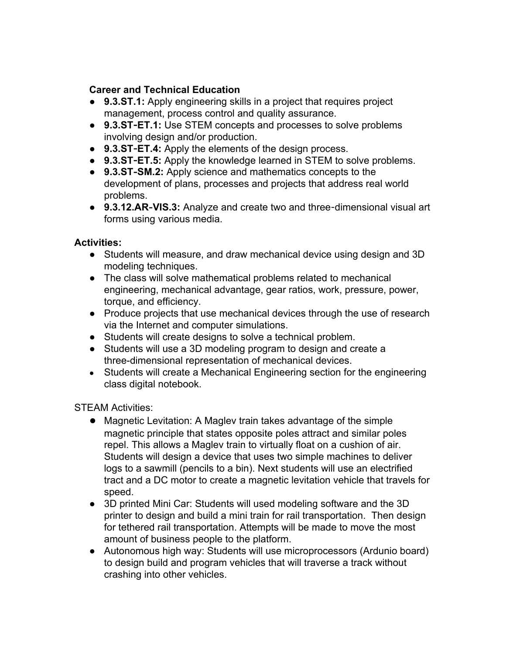### **Career and Technical Education**

- **9.3.ST.1:** Apply engineering skills in a project that requires project management, process control and quality assurance.
- 9.3.ST-ET.1: Use STEM concepts and processes to solve problems involving design and/or production.
- 9.3.ST-ET.4: Apply the elements of the design process.
- **9.3.ST**‐**ET.5:** Apply the knowledge learned in STEM to solve problems.
- **9.3.ST**‐**SM.2:** Apply science and mathematics concepts to the development of plans, processes and projects that address real world problems.
- 9.3.12.AR-VIS.3: Analyze and create two and three-dimensional visual art forms using various media.

# **Activities:**

- Students will measure, and draw mechanical device using design and 3D modeling techniques.
- The class will solve mathematical problems related to mechanical engineering, mechanical advantage, gear ratios, work, pressure, power, torque, and efficiency.
- Produce projects that use mechanical devices through the use of research via the Internet and computer simulations.
- Students will create designs to solve a technical problem.
- Students will use a 3D modeling program to design and create a three-dimensional representation of mechanical devices.
- Students will create a Mechanical Engineering section for the engineering class digital notebook.

STEAM Activities:

- Magnetic Levitation: A Maglev train takes advantage of the simple magnetic principle that states opposite poles attract and similar poles repel. This allows a Maglev train to virtually float on a cushion of air. Students will design a device that uses two simple machines to deliver logs to a sawmill (pencils to a bin). Next students will use an electrified tract and a DC motor to create a magnetic levitation vehicle that travels for speed.
- 3D printed Mini Car: Students will used modeling software and the 3D printer to design and build a mini train for rail transportation. Then design for tethered rail transportation. Attempts will be made to move the most amount of business people to the platform.
- Autonomous high way: Students will use microprocessors (Ardunio board) to design build and program vehicles that will traverse a track without crashing into other vehicles.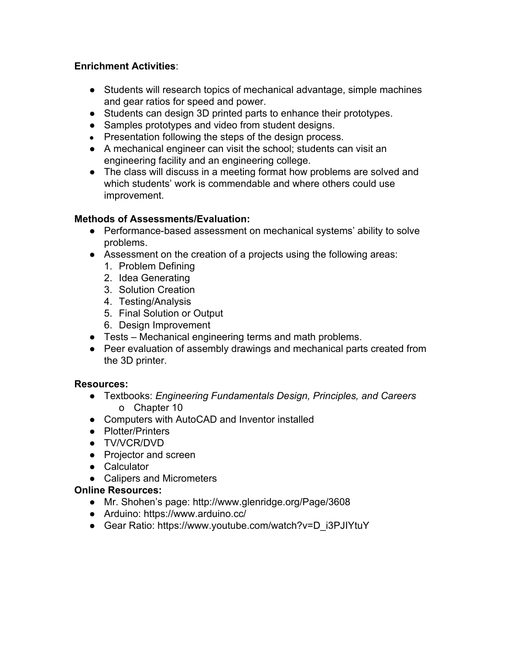### **Enrichment Activities**:

- Students will research topics of mechanical advantage, simple machines and gear ratios for speed and power.
- Students can design 3D printed parts to enhance their prototypes.
- Samples prototypes and video from student designs.
- Presentation following the steps of the design process.
- A mechanical engineer can visit the school; students can visit an engineering facility and an engineering college.
- The class will discuss in a meeting format how problems are solved and which students' work is commendable and where others could use improvement.

### **Methods of Assessments/Evaluation:**

- Performance-based assessment on mechanical systems' ability to solve problems.
- Assessment on the creation of a projects using the following areas:
	- 1. Problem Defining
	- 2. Idea Generating
	- 3. Solution Creation
	- 4. Testing/Analysis
	- 5. Final Solution or Output
	- 6. Design Improvement
- Tests Mechanical engineering terms and math problems.
- Peer evaluation of assembly drawings and mechanical parts created from the 3D printer.

### **Resources:**

- Textbooks: *Engineering Fundamentals Design, Principles, and Careers* o Chapter 10
- Computers with AutoCAD and Inventor installed
- Plotter/Printers
- TV/VCR/DVD
- Projector and screen
- Calculator
- Calipers and Micrometers

### **Online Resources:**

- Mr. Shohen's page: http://www.glenridge.org/Page/3608
- Arduino: https://www.arduino.cc/
- Gear Ratio: https://www.youtube.com/watch?v=D\_i3PJIYtuY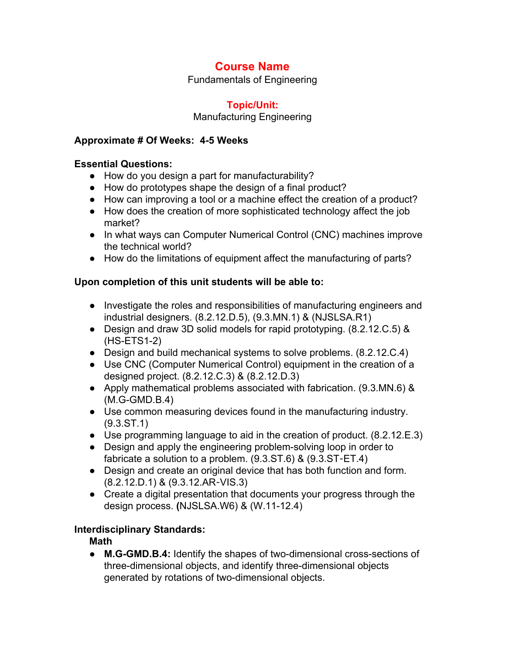Fundamentals of Engineering

### **Topic/Unit:**

#### Manufacturing Engineering

#### **Approximate # Of Weeks: 45 Weeks**

#### **Essential Questions:**

- How do you design a part for manufacturability?
- How do prototypes shape the design of a final product?
- How can improving a tool or a machine effect the creation of a product?
- How does the creation of more sophisticated technology affect the job market?
- In what ways can Computer Numerical Control (CNC) machines improve the technical world?
- How do the limitations of equipment affect the manufacturing of parts?

### **Upon completion of this unit students will be able to:**

- Investigate the roles and responsibilities of manufacturing engineers and industrial designers. (8.2.12.D.5), (9.3.MN.1) & (NJSLSA.R1)
- Design and draw 3D solid models for rapid prototyping. (8.2.12.C.5) &  $(HS-ETS1-2)$
- Design and build mechanical systems to solve problems. (8.2.12.C.4)
- Use CNC (Computer Numerical Control) equipment in the creation of a designed project. (8.2.12.C.3) & (8.2.12.D.3)
- Apply mathematical problems associated with fabrication. (9.3.MN.6) &  $(M.G-GMD.B.4)$
- Use common measuring devices found in the manufacturing industry. (9.3.ST.1)
- Use programming language to aid in the creation of product. (8.2.12.E.3)
- Design and apply the engineering problem-solving loop in order to fabricate a solution to a problem. (9.3.ST.6) & (9.3.ST‐ET.4)
- Design and create an original device that has both function and form. (8.2.12.D.1) & (9.3.12.AR‐VIS.3)
- Create a digital presentation that documents your progress through the design process. **(NJSLSA.W6) & (W.11-12.4)**

### **Interdisciplinary Standards:**

### **Math**

• M.G-GMD.B.4: Identify the shapes of two-dimensional cross-sections of three-dimensional objects, and identify three-dimensional objects generated by rotations of two-dimensional objects.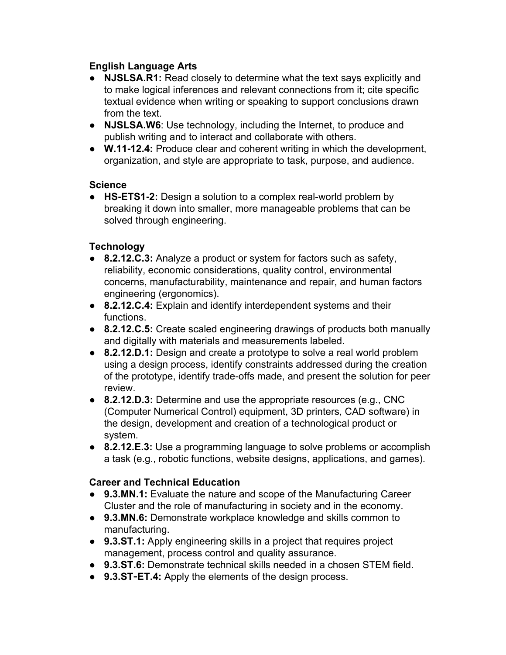### **English Language Arts**

- **NJSLSA.R1:** Read closely to determine what the text says explicitly and to make logical inferences and relevant connections from it; cite specific textual evidence when writing or speaking to support conclusions drawn from the text.
- **NJSLSA.W6**: Use technology, including the Internet, to produce and publish writing and to interact and collaborate with others.
- **W.1112.4:** Produce clear and coherent writing in which the development, organization, and style are appropriate to task, purpose, and audience.

### **Science**

• HS-ETS1-2: Design a solution to a complex real-world problem by breaking it down into smaller, more manageable problems that can be solved through engineering.

### **Technology**

- **8.2.12.C.3:** Analyze a product or system for factors such as safety, reliability, economic considerations, quality control, environmental concerns, manufacturability, maintenance and repair, and human factors engineering (ergonomics).
- **8.2.12.C.4:** Explain and identify interdependent systems and their functions.
- **8.2.12.C.5:** Create scaled engineering drawings of products both manually and digitally with materials and measurements labeled.
- **8.2.12.D.1:** Design and create a prototype to solve a real world problem using a design process, identify constraints addressed during the creation of the prototype, identify trade-offs made, and present the solution for peer review.
- **8.2.12.D.3:** Determine and use the appropriate resources (e.g., CNC (Computer Numerical Control) equipment, 3D printers, CAD software) in the design, development and creation of a technological product or system.
- **8.2.12.E.3:** Use a programming language to solve problems or accomplish a task (e.g., robotic functions, website designs, applications, and games).

### **Career and Technical Education**

- **9.3.MN.1:** Evaluate the nature and scope of the Manufacturing Career Cluster and the role of manufacturing in society and in the economy.
- **9.3.MN.6:** Demonstrate workplace knowledge and skills common to manufacturing.
- **9.3.ST.1:** Apply engineering skills in a project that requires project management, process control and quality assurance.
- **9.3.ST.6:** Demonstrate technical skills needed in a chosen STEM field.
- **9.3.ST**‐**ET.4:** Apply the elements of the design process.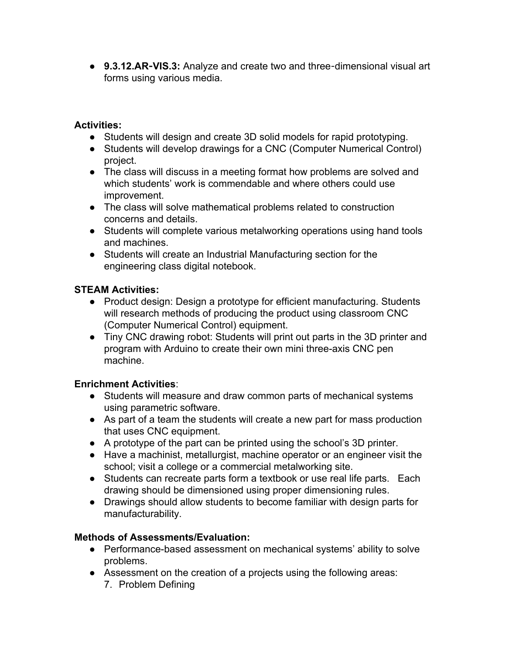● 9.3.12.AR-VIS.3: Analyze and create two and three-dimensional visual art forms using various media.

#### **Activities:**

- Students will design and create 3D solid models for rapid prototyping.
- Students will develop drawings for a CNC (Computer Numerical Control) project.
- The class will discuss in a meeting format how problems are solved and which students' work is commendable and where others could use improvement.
- The class will solve mathematical problems related to construction concerns and details.
- Students will complete various metalworking operations using hand tools and machines.
- Students will create an Industrial Manufacturing section for the engineering class digital notebook.

### **STEAM Activities:**

- Product design: Design a prototype for efficient manufacturing. Students will research methods of producing the product using classroom CNC (Computer Numerical Control) equipment.
- Tiny CNC drawing robot: Students will print out parts in the 3D printer and program with Arduino to create their own mini three-axis CNC pen machine.

### **Enrichment Activities**:

- Students will measure and draw common parts of mechanical systems using parametric software.
- As part of a team the students will create a new part for mass production that uses CNC equipment.
- A prototype of the part can be printed using the school's 3D printer.
- Have a machinist, metallurgist, machine operator or an engineer visit the school; visit a college or a commercial metalworking site.
- Students can recreate parts form a textbook or use real life parts. Each drawing should be dimensioned using proper dimensioning rules.
- Drawings should allow students to become familiar with design parts for manufacturability.

### **Methods of Assessments/Evaluation:**

- Performance-based assessment on mechanical systems' ability to solve problems.
- Assessment on the creation of a projects using the following areas:
	- 7. Problem Defining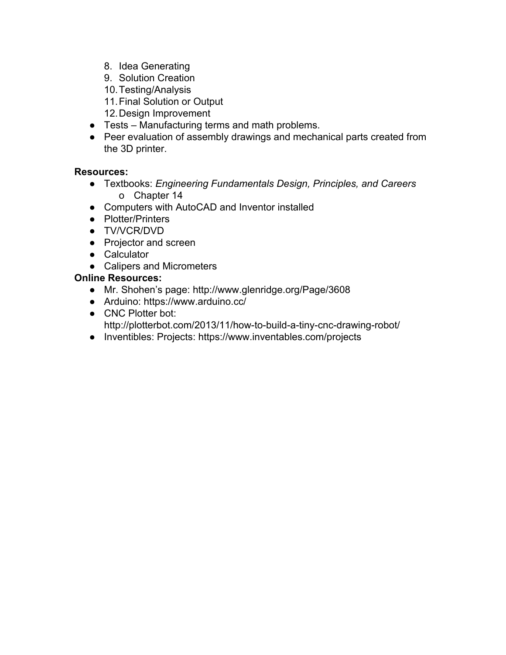- 8. Idea Generating
- 9. Solution Creation
- 10.Testing/Analysis
- 11.Final Solution or Output
- 12.Design Improvement
- Tests Manufacturing terms and math problems.
- Peer evaluation of assembly drawings and mechanical parts created from the 3D printer.

## **Resources:**

- Textbooks: *Engineering Fundamentals Design, Principles, and Careers* o Chapter 14
- Computers with AutoCAD and Inventor installed
- Plotter/Printers
- TV/VCR/DVD
- Projector and screen
- Calculator
- Calipers and Micrometers

## **Online Resources:**

- Mr. Shohen's page: http://www.glenridge.org/Page/3608
- Arduino: https://www.arduino.cc/
- CNC Plotter bot: http://plotterbot.com/2013/11/how-to-build-a-tiny-cnc-drawing-robot/
- Inventibles: Projects: https://www.inventables.com/projects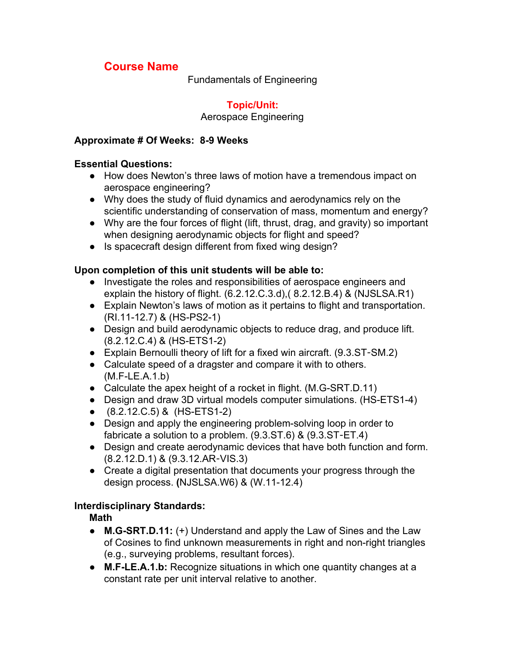Fundamentals of Engineering

## **Topic/Unit:**

#### Aerospace Engineering

#### **Approximate # Of Weeks: 89 Weeks**

#### **Essential Questions:**

- How does Newton's three laws of motion have a tremendous impact on aerospace engineering?
- Why does the study of fluid dynamics and aerodynamics rely on the scientific understanding of conservation of mass, momentum and energy?
- Why are the four forces of flight (lift, thrust, drag, and gravity) so important when designing aerodynamic objects for flight and speed?
- Is spacecraft design different from fixed wing design?

### **Upon completion of this unit students will be able to:**

- Investigate the roles and responsibilities of aerospace engineers and explain the history of flight. (6.2.12.C.3.d),( 8.2.12.B.4) & (NJSLSA.R1)
- Explain Newton's laws of motion as it pertains to flight and transportation. (RI.11-12.7) & (HS-PS2-1)
- Design and build aerodynamic objects to reduce drag, and produce lift. (8.2.12.C.4) & (HSETS12)
- Explain Bernoulli theory of lift for a fixed win aircraft. (9.3.ST-SM.2)
- Calculate speed of a dragster and compare it with to others.  $(M.F-LE.A.1.b)$
- Calculate the apex height of a rocket in flight.  $(M.G-SRT.D.11)$
- Design and draw 3D virtual models computer simulations. (HS-ETS1-4)
- $\bullet$  (8.2.12.C.5) & (HS-ETS1-2)
- Design and apply the engineering problem-solving loop in order to fabricate a solution to a problem. (9.3.ST.6) & (9.3.ST‐ET.4)
- Design and create aerodynamic devices that have both function and form. (8.2.12.D.1) & (9.3.12.AR‐VIS.3)
- Create a digital presentation that documents your progress through the design process. **(NJSLSA.W6) & (W.11-12.4)**

### **Interdisciplinary Standards:**

### **Math**

- M.G-SRT.D.11: (+) Understand and apply the Law of Sines and the Law of Cosines to find unknown measurements in right and non-right triangles (e.g., surveying problems, resultant forces).
- **M.FLE.A.1.b:** Recognize situations in which one quantity changes at a constant rate per unit interval relative to another.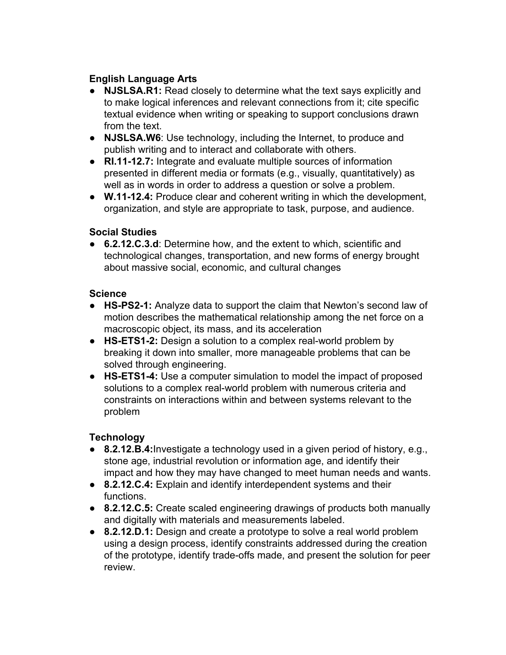## **English Language Arts**

- **NJSLSA.R1:** Read closely to determine what the text says explicitly and to make logical inferences and relevant connections from it; cite specific textual evidence when writing or speaking to support conclusions drawn from the text.
- **NJSLSA.W6**: Use technology, including the Internet, to produce and publish writing and to interact and collaborate with others.
- **RI.1112.7:** Integrate and evaluate multiple sources of information presented in different media or formats (e.g., visually, quantitatively) as well as in words in order to address a question or solve a problem.
- **W.1112.4:** Produce clear and coherent writing in which the development, organization, and style are appropriate to task, purpose, and audience.

### **Social Studies**

● **6.2.12.C.3.d**: Determine how, and the extent to which, scientific and technological changes, transportation, and new forms of energy brought about massive social, economic, and cultural changes

### **Science**

- **HSPS21:** Analyze data to support the claim that Newton's second law of motion describes the mathematical relationship among the net force on a macroscopic object, its mass, and its acceleration
- HS-ETS1-2: Design a solution to a complex real-world problem by breaking it down into smaller, more manageable problems that can be solved through engineering.
- HS-ETS1-4: Use a computer simulation to model the impact of proposed solutions to a complex real-world problem with numerous criteria and constraints on interactions within and between systems relevant to the problem

### **Technology**

- **8.2.12.B.4:**Investigate a technology used in a given period of history, e.g., stone age, industrial revolution or information age, and identify their impact and how they may have changed to meet human needs and wants.
- **8.2.12.C.4:** Explain and identify interdependent systems and their functions.
- **8.2.12.C.5:** Create scaled engineering drawings of products both manually and digitally with materials and measurements labeled.
- **8.2.12.D.1:** Design and create a prototype to solve a real world problem using a design process, identify constraints addressed during the creation of the prototype, identify trade-offs made, and present the solution for peer review.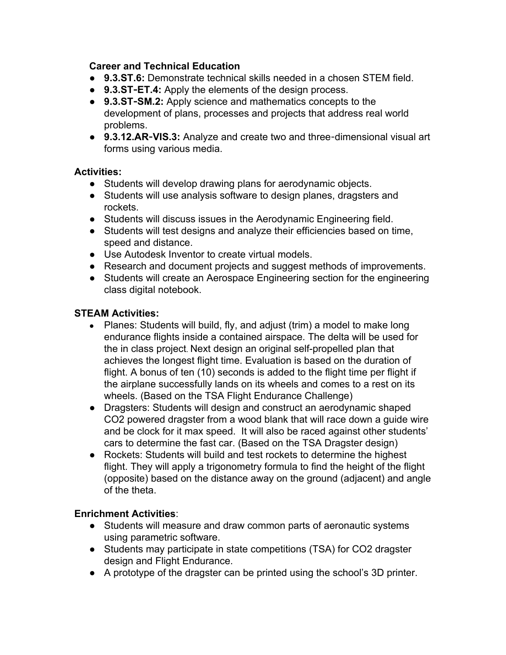#### **Career and Technical Education**

- **9.3.ST.6:** Demonstrate technical skills needed in a chosen STEM field.
- 9.3.ST-ET.4: Apply the elements of the design process.
- **9.3.ST**‐**SM.2:** Apply science and mathematics concepts to the development of plans, processes and projects that address real world problems.
- 9.3.12.AR-VIS.3: Analyze and create two and three-dimensional visual art forms using various media.

### **Activities:**

- Students will develop drawing plans for aerodynamic objects.
- Students will use analysis software to design planes, dragsters and rockets.
- Students will discuss issues in the Aerodynamic Engineering field.
- Students will test designs and analyze their efficiencies based on time, speed and distance.
- Use Autodesk Inventor to create virtual models.
- Research and document projects and suggest methods of improvements.
- Students will create an Aerospace Engineering section for the engineering class digital notebook.

#### **STEAM Activities:**

- Planes: Students will build, fly, and adjust (trim) a model to make long endurance flights inside a contained airspace. The delta will be used for the in class project. Next design an original self-propelled plan that achieves the longest flight time. Evaluation is based on the duration of flight. A bonus of ten (10) seconds is added to the flight time per flight if the airplane successfully lands on its wheels and comes to a rest on its wheels. (Based on the TSA Flight Endurance Challenge)
- Dragsters: Students will design and construct an aerodynamic shaped CO2 powered dragster from a wood blank that will race down a guide wire and be clock for it max speed. It will also be raced against other students' cars to determine the fast car. (Based on the TSA Dragster design)
- Rockets: Students will build and test rockets to determine the highest flight. They will apply a trigonometry formula to find the height of the flight (opposite) based on the distance away on the ground (adjacent) and angle of the theta.

### **Enrichment Activities**:

- Students will measure and draw common parts of aeronautic systems using parametric software.
- Students may participate in state competitions (TSA) for CO2 dragster design and Flight Endurance.
- A prototype of the dragster can be printed using the school's 3D printer.